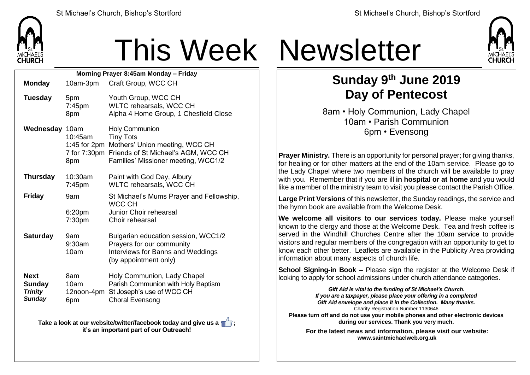

## This Week Newsletter

| Morning Prayer 8:45am Monday - Friday                           |                                              |                                                                                                                                                                        |  |  |  |
|-----------------------------------------------------------------|----------------------------------------------|------------------------------------------------------------------------------------------------------------------------------------------------------------------------|--|--|--|
| <b>Monday</b>                                                   | 10am-3pm                                     | Craft Group, WCC CH                                                                                                                                                    |  |  |  |
| <b>Tuesday</b>                                                  | 5pm<br>7:45pm<br>8pm                         | Youth Group, WCC CH<br>WLTC rehearsals, WCC CH<br>Alpha 4 Home Group, 1 Chesfield Close                                                                                |  |  |  |
| Wednesday 10am                                                  | 10:45am<br>1:45 for $2pm$<br>8pm             | <b>Holy Communion</b><br><b>Tiny Tots</b><br>Mothers' Union meeting, WCC CH<br>7 for 7:30pm Friends of St Michael's AGM, WCC CH<br>Families' Missioner meeting, WCC1/2 |  |  |  |
| <b>Thursday</b>                                                 | 10:30am<br>$7:45$ pm                         | Paint with God Day, Albury<br>WLTC rehearsals, WCC CH                                                                                                                  |  |  |  |
| <b>Friday</b>                                                   | 9am<br>6:20pm<br>7:30 <sub>pm</sub>          | St Michael's Mums Prayer and Fellowship,<br>WCC CH<br>Junior Choir rehearsal<br>Choir rehearsal                                                                        |  |  |  |
| <b>Saturday</b>                                                 | 9am<br>9:30am<br>10am                        | Bulgarian education session, WCC1/2<br>Prayers for our community<br>Interviews for Banns and Weddings<br>(by appointment only)                                         |  |  |  |
| <b>Next</b><br><b>Sunday</b><br><b>Trinity</b><br><b>Sunday</b> | 8am<br>10 <sub>am</sub><br>12noon-4pm<br>6pm | Holy Communion, Lady Chapel<br>Parish Communion with Holy Baptism<br>St Joseph's use of WCC CH<br><b>Choral Evensong</b>                                               |  |  |  |

**Take a look at our website/twitter/facebook today and give us a**  $\blacksquare$ **: it's an important part of our Outreach!**



## **Sunday 9 th June 2019 Day of Pentecost**

8am • Holy Communion, Lady Chapel 10am • Parish Communion 6pm • Evensong

**Prayer Ministry.** There is an opportunity for personal prayer; for giving thanks, for healing or for other matters at the end of the 10am service. Please go to the Lady Chapel where two members of the church will be available to pray with you. Remember that if you are ill **in hospital or at home** and you would like a member of the ministry team to visit you please contact the Parish Office.

**Large Print Versions** of this newsletter, the Sunday readings, the service and the hymn book are available from the Welcome Desk.

**We welcome all visitors to our services today.** Please make yourself known to the clergy and those at the Welcome Desk. Tea and fresh coffee is served in the Windhill Churches Centre after the 10am service to provide visitors and regular members of the congregation with an opportunity to get to  $k$  know each other better. Leaflets are available in the Publicity Area providing information about many aspects of church life.

**School Signing-in Book –** Please sign the register at the Welcome Desk if looking to apply for school admissions under church attendance categories.

*Gift Aid is vital to the funding of St Michael's Church. If you are a taxpayer, please place your offering in a completed Gift Aid envelope and place it in the Collection. Many thanks.* Charity Registration Number 1130646 **Please turn off and do not use your mobile phones and other electronic devices during our services. Thank you very much. For the latest news and information, please visit our website:**

**[www.saintmichaelweb.org.uk](http://www.saintmichaelweb.org.uk/)**